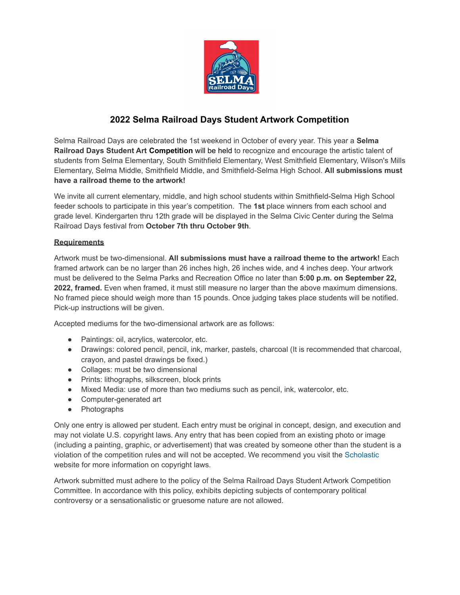

## **2022 Selma Railroad Days Student Artwork Competition**

Selma Railroad Days are celebrated the 1st weekend in October of every year. This year a **Selma Railroad Days Student Art Competition** will be held to recognize and encourage the artistic talent of students from Selma Elementary, South Smithfield Elementary, West Smithfield Elementary, Wilson's Mills Elementary, Selma Middle, Smithfield Middle, and Smithfield-Selma High School. **All submissions must have a railroad theme to the artwork!**

We invite all current elementary, middle, and high school students within Smithfield-Selma High School feeder schools to participate in this year's competition. The **1st** place winners from each school and grade level. Kindergarten thru 12th grade will be displayed in the Selma Civic Center during the Selma Railroad Days festival from **October 7th thru October 9th**.

## **Requirements**

Artwork must be two-dimensional. **All submissions must have a railroad theme to the artwork!** Each framed artwork can be no larger than 26 inches high, 26 inches wide, and 4 inches deep. Your artwork must be delivered to the Selma Parks and Recreation Office no later than **5:00 p.m. on September 22, 2022, framed.** Even when framed, it must still measure no larger than the above maximum dimensions. No framed piece should weigh more than 15 pounds. Once judging takes place students will be notified. Pick-up instructions will be given.

Accepted mediums for the two-dimensional artwork are as follows:

- Paintings: oil, acrylics, watercolor, etc.
- Drawings: colored pencil, pencil, ink, marker, pastels, charcoal (It is recommended that charcoal, crayon, and pastel drawings be fixed.)
- Collages: must be two dimensional
- Prints: lithographs, silkscreen, block prints
- Mixed Media: use of more than two mediums such as pencil, ink, watercolor, etc.
- Computer-generated art
- Photographs

Only one entry is allowed per student. Each entry must be original in concept, design, and execution and may not violate U.S. copyright laws. Any entry that has been copied from an existing photo or image (including a painting, graphic, or advertisement) that was created by someone other than the student is a violation of the competition rules and will not be accepted. We recommend you visit the [Scholastic](https://www.artandwriting.org/) website for more information on copyright laws.

Artwork submitted must adhere to the policy of the Selma Railroad Days Student Artwork Competition Committee. In accordance with this policy, exhibits depicting subjects of contemporary political controversy or a sensationalistic or gruesome nature are not allowed.